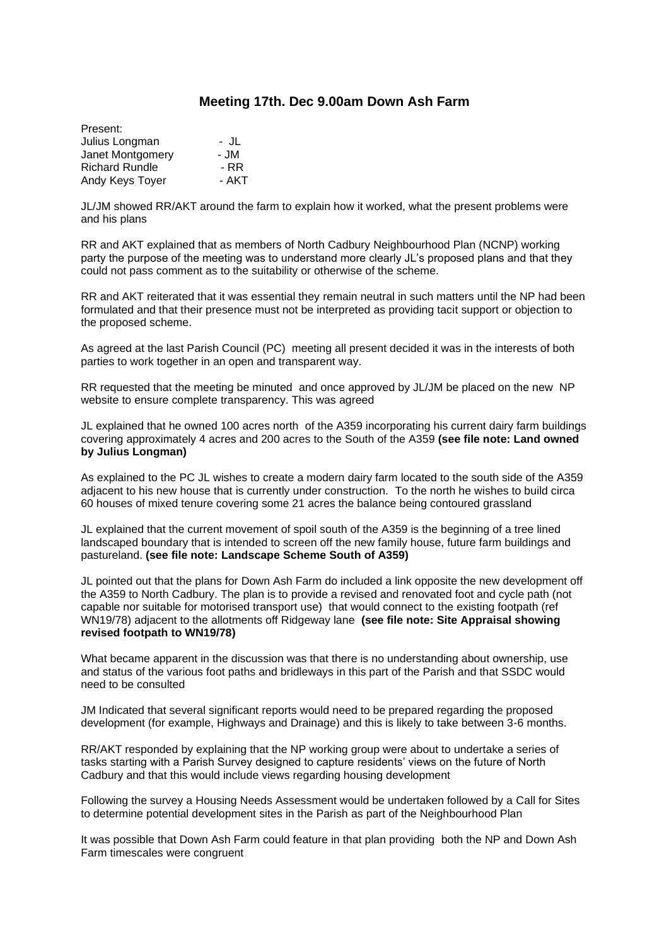## **Meeting 17th. Dec 9.00am Down Ash Farm**

| Present:              |       |
|-----------------------|-------|
| Julius Longman        | - JL  |
| Janet Montgomery      | - JM  |
| <b>Richard Rundle</b> | - RR  |
| Andy Keys Toyer       | - AKT |

JL/JM showed RR/AKT around the farm to explain how it worked, what the present problems were and his plans

RR and AKT explained that as members of North Cadbury Neighbourhood Plan (NCNP) working party the purpose of the meeting was to understand more clearly JL's proposed plans and that they could not pass comment as to the suitability or otherwise of the scheme.

RR and AKT reiterated that it was essential they remain neutral in such matters until the NP had been formulated and that their presence must not be interpreted as providing tacit support or objection to the proposed scheme.

As agreed at the last Parish Council (PC) meeting all present decided it was in the interests of both parties to work together in an open and transparent way.

RR requested that the meeting be minuted and once approved by JL/JM be placed on the new NP website to ensure complete transparency. This was agreed

JL explained that he owned 100 acres north of the A359 incorporating his current dairy farm buildings covering approximately 4 acres and 200 acres to the South of the A359 **(see file note: Land owned by Julius Longman)**

As explained to the PC JL wishes to create a modern dairy farm located to the south side of the A359 adjacent to his new house that is currently under construction. To the north he wishes to build circa 60 houses of mixed tenure covering some 21 acres the balance being contoured grassland

JL explained that the current movement of spoil south of the A359 is the beginning of a tree lined landscaped boundary that is intended to screen off the new family house, future farm buildings and pastureland. **(see file note: Landscape Scheme South of A359)**

JL pointed out that the plans for Down Ash Farm do included a link opposite the new development off the A359 to North Cadbury. The plan is to provide a revised and renovated foot and cycle path (not capable nor suitable for motorised transport use) that would connect to the existing footpath (ref WN19/78) adjacent to the allotments off Ridgeway lane **(see file note: Site Appraisal showing revised footpath to WN19/78)**

What became apparent in the discussion was that there is no understanding about ownership, use and status of the various foot paths and bridleways in this part of the Parish and that SSDC would need to be consulted

JM Indicated that several significant reports would need to be prepared regarding the proposed development (for example, Highways and Drainage) and this is likely to take between 3-6 months.

RR/AKT responded by explaining that the NP working group were about to undertake a series of tasks starting with a Parish Survey designed to capture residents' views on the future of North Cadbury and that this would include views regarding housing development

Following the survey a Housing Needs Assessment would be undertaken followed by a Call for Sites to determine potential development sites in the Parish as part of the Neighbourhood Plan

It was possible that Down Ash Farm could feature in that plan providing both the NP and Down Ash Farm timescales were congruent